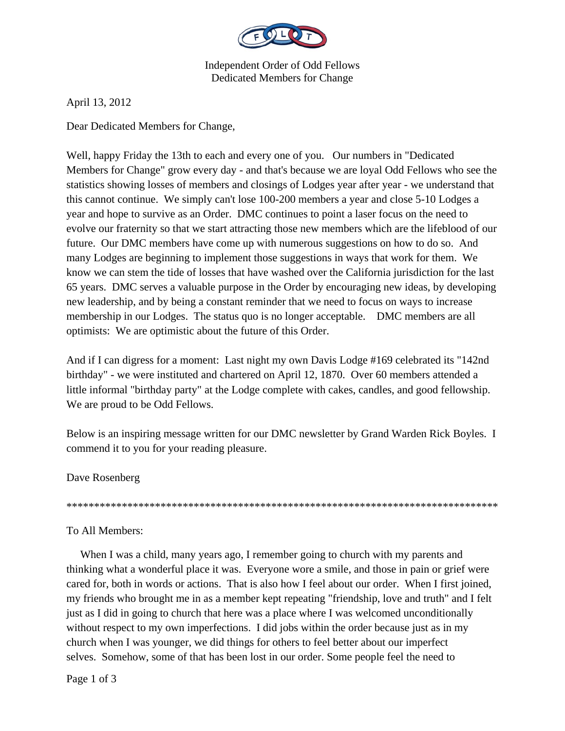

Independent Order of Odd Fellows Dedicated Members for Change

April 13, 2012

Dear Dedicated Members for Change,

Well, happy Friday the 13th to each and every one of you. Our numbers in "Dedicated Members for Change" grow every day - and that's because we are loyal Odd Fellows who see the statistics showing losses of members and closings of Lodges year after year - we understand that this cannot continue. We simply can't lose 100-200 members a year and close 5-10 Lodges a year and hope to survive as an Order. DMC continues to point a laser focus on the need to evolve our fraternity so that we start attracting those new members which are the lifeblood of our future. Our DMC members have come up with numerous suggestions on how to do so. And many Lodges are beginning to implement those suggestions in ways that work for them. We know we can stem the tide of losses that have washed over the California jurisdiction for the last 65 years. DMC serves a valuable purpose in the Order by encouraging new ideas, by developing new leadership, and by being a constant reminder that we need to focus on ways to increase membership in our Lodges. The status quo is no longer acceptable. DMC members are all optimists: We are optimistic about the future of this Order.

And if I can digress for a moment: Last night my own Davis Lodge #169 celebrated its "142nd birthday" - we were instituted and chartered on April 12, 1870. Over 60 members attended a little informal "birthday party" at the Lodge complete with cakes, candles, and good fellowship. We are proud to be Odd Fellows.

Below is an inspiring message written for our DMC newsletter by Grand Warden Rick Boyles. I commend it to you for your reading pleasure.

Dave Rosenberg

\*\*\*\*\*\*\*\*\*\*\*\*\*\*\*\*\*\*\*\*\*\*\*\*\*\*\*\*\*\*\*\*\*\*\*\*\*\*\*\*\*\*\*\*\*\*\*\*\*\*\*\*\*\*\*\*\*\*\*\*\*\*\*\*\*\*\*\*\*\*\*\*\*\*\*\*\*\*

## To All Members:

When I was a child, many years ago, I remember going to church with my parents and thinking what a wonderful place it was. Everyone wore a smile, and those in pain or grief were cared for, both in words or actions. That is also how I feel about our order. When I first joined, my friends who brought me in as a member kept repeating "friendship, love and truth" and I felt just as I did in going to church that here was a place where I was welcomed unconditionally without respect to my own imperfections. I did jobs within the order because just as in my church when I was younger, we did things for others to feel better about our imperfect selves. Somehow, some of that has been lost in our order. Some people feel the need to

Page 1 of 3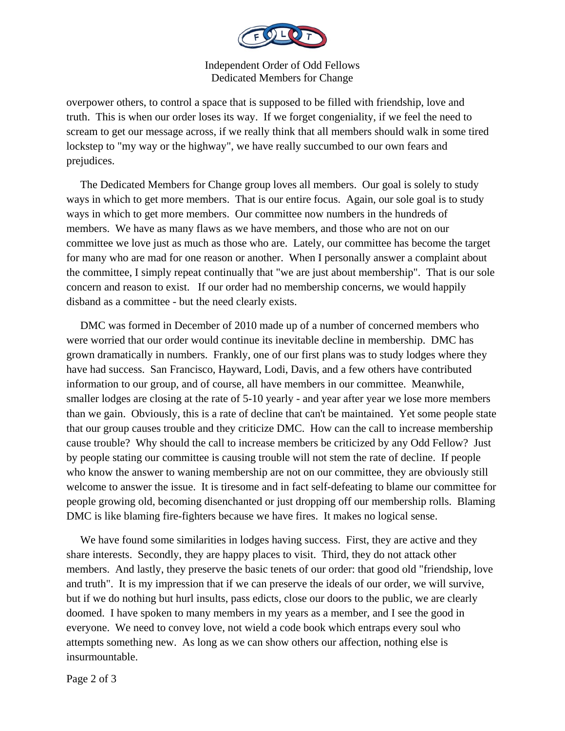

Independent Order of Odd Fellows Dedicated Members for Change

overpower others, to control a space that is supposed to be filled with friendship, love and truth. This is when our order loses its way. If we forget congeniality, if we feel the need to scream to get our message across, if we really think that all members should walk in some tired lockstep to "my way or the highway", we have really succumbed to our own fears and prejudices.

 The Dedicated Members for Change group loves all members. Our goal is solely to study ways in which to get more members. That is our entire focus. Again, our sole goal is to study ways in which to get more members. Our committee now numbers in the hundreds of members. We have as many flaws as we have members, and those who are not on our committee we love just as much as those who are. Lately, our committee has become the target for many who are mad for one reason or another. When I personally answer a complaint about the committee, I simply repeat continually that "we are just about membership". That is our sole concern and reason to exist. If our order had no membership concerns, we would happily disband as a committee - but the need clearly exists.

 DMC was formed in December of 2010 made up of a number of concerned members who were worried that our order would continue its inevitable decline in membership. DMC has grown dramatically in numbers. Frankly, one of our first plans was to study lodges where they have had success. San Francisco, Hayward, Lodi, Davis, and a few others have contributed information to our group, and of course, all have members in our committee. Meanwhile, smaller lodges are closing at the rate of 5-10 yearly - and year after year we lose more members than we gain. Obviously, this is a rate of decline that can't be maintained. Yet some people state that our group causes trouble and they criticize DMC. How can the call to increase membership cause trouble? Why should the call to increase members be criticized by any Odd Fellow? Just by people stating our committee is causing trouble will not stem the rate of decline. If people who know the answer to waning membership are not on our committee, they are obviously still welcome to answer the issue. It is tiresome and in fact self-defeating to blame our committee for people growing old, becoming disenchanted or just dropping off our membership rolls. Blaming DMC is like blaming fire-fighters because we have fires. It makes no logical sense.

We have found some similarities in lodges having success. First, they are active and they share interests. Secondly, they are happy places to visit. Third, they do not attack other members. And lastly, they preserve the basic tenets of our order: that good old "friendship, love and truth". It is my impression that if we can preserve the ideals of our order, we will survive, but if we do nothing but hurl insults, pass edicts, close our doors to the public, we are clearly doomed. I have spoken to many members in my years as a member, and I see the good in everyone. We need to convey love, not wield a code book which entraps every soul who attempts something new. As long as we can show others our affection, nothing else is insurmountable.

Page 2 of 3